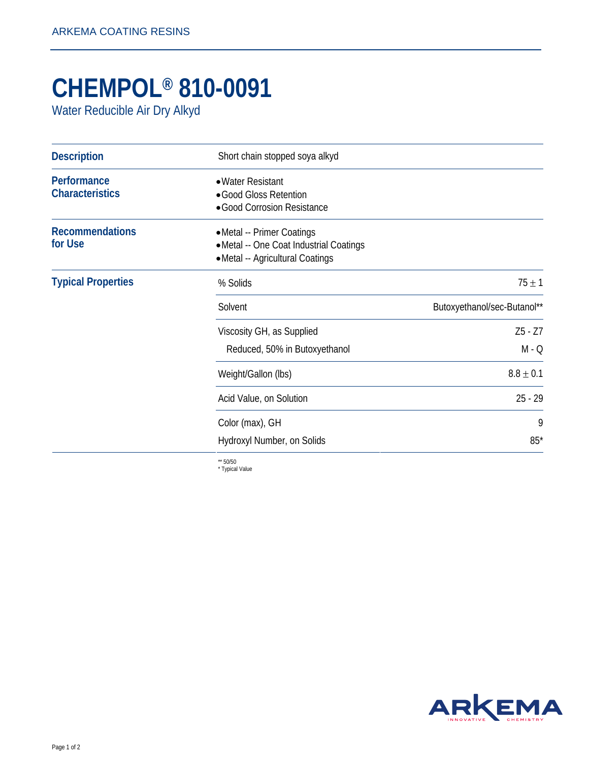## **CHEMPOL® 810-0091**

Water Reducible Air Dry Alkyd

| <b>Description</b>                    | Short chain stopped soya alkyd                                                                            |                             |
|---------------------------------------|-----------------------------------------------------------------------------------------------------------|-----------------------------|
| Performance<br><b>Characteristics</b> | • Water Resistant<br>• Good Gloss Retention<br>· Good Corrosion Resistance                                |                             |
| <b>Recommendations</b><br>for Use     | • Metal -- Primer Coatings<br>• Metal -- One Coat Industrial Coatings<br>• Metal -- Agricultural Coatings |                             |
| <b>Typical Properties</b>             | % Solids                                                                                                  | $75 \pm 1$                  |
|                                       | Solvent                                                                                                   | Butoxyethanol/sec-Butanol** |
|                                       | Viscosity GH, as Supplied<br>Reduced, 50% in Butoxyethanol                                                | $Z5 - Z7$<br>$M - Q$        |
|                                       | Weight/Gallon (lbs)                                                                                       | $8.8 \pm 0.1$               |
|                                       | Acid Value, on Solution                                                                                   | $25 - 29$                   |
|                                       | Color (max), GH                                                                                           | 9                           |
|                                       | Hydroxyl Number, on Solids                                                                                | $85*$                       |

\*\* 50/50 \* Typical Value